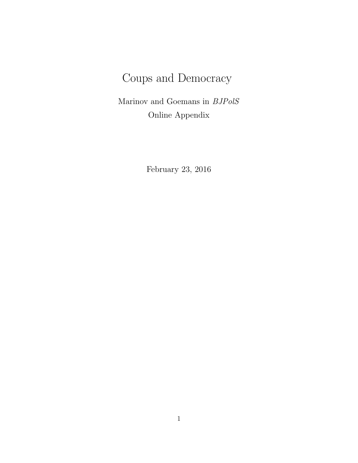# Coups and Democracy

Marinov and Goemans in BJPolS Online Appendix

February 23, 2016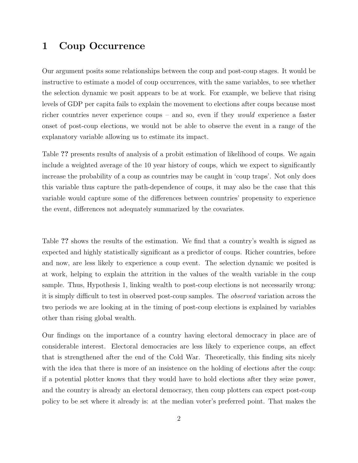## 1 Coup Occurrence

Our argument posits some relationships between the coup and post-coup stages. It would be instructive to estimate a model of coup occurrences, with the same variables, to see whether the selection dynamic we posit appears to be at work. For example, we believe that rising levels of GDP per capita fails to explain the movement to elections after coups because most richer countries never experience coups – and so, even if they would experience a faster onset of post-coup elections, we would not be able to observe the event in a range of the explanatory variable allowing us to estimate its impact.

Table ?? presents results of analysis of a probit estimation of likelihood of coups. We again include a weighted average of the 10 year history of coups, which we expect to significantly increase the probability of a coup as countries may be caught in 'coup traps'. Not only does this variable thus capture the path-dependence of coups, it may also be the case that this variable would capture some of the differences between countries' propensity to experience the event, differences not adequately summarized by the covariates.

Table ?? shows the results of the estimation. We find that a country's wealth is signed as expected and highly statistically significant as a predictor of coups. Richer countries, before and now, are less likely to experience a coup event. The selection dynamic we posited is at work, helping to explain the attrition in the values of the wealth variable in the coup sample. Thus, Hypothesis 1, linking wealth to post-coup elections is not necessarily wrong: it is simply difficult to test in observed post-coup samples. The observed variation across the two periods we are looking at in the timing of post-coup elections is explained by variables other than rising global wealth.

Our findings on the importance of a country having electoral democracy in place are of considerable interest. Electoral democracies are less likely to experience coups, an effect that is strengthened after the end of the Cold War. Theoretically, this finding sits nicely with the idea that there is more of an insistence on the holding of elections after the coup: if a potential plotter knows that they would have to hold elections after they seize power, and the country is already an electoral democracy, then coup plotters can expect post-coup policy to be set where it already is: at the median voter's preferred point. That makes the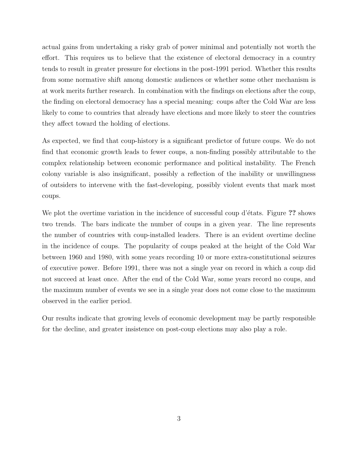actual gains from undertaking a risky grab of power minimal and potentially not worth the effort. This requires us to believe that the existence of electoral democracy in a country tends to result in greater pressure for elections in the post-1991 period. Whether this results from some normative shift among domestic audiences or whether some other mechanism is at work merits further research. In combination with the findings on elections after the coup, the finding on electoral democracy has a special meaning: coups after the Cold War are less likely to come to countries that already have elections and more likely to steer the countries they affect toward the holding of elections.

As expected, we find that coup-history is a significant predictor of future coups. We do not find that economic growth leads to fewer coups, a non-finding possibly attributable to the complex relationship between economic performance and political instability. The French colony variable is also insignificant, possibly a reflection of the inability or unwillingness of outsiders to intervene with the fast-developing, possibly violent events that mark most coups.

We plot the overtime variation in the incidence of successful coup d'états. Figure ?? shows two trends. The bars indicate the number of coups in a given year. The line represents the number of countries with coup-installed leaders. There is an evident overtime decline in the incidence of coups. The popularity of coups peaked at the height of the Cold War between 1960 and 1980, with some years recording 10 or more extra-constitutional seizures of executive power. Before 1991, there was not a single year on record in which a coup did not succeed at least once. After the end of the Cold War, some years record no coups, and the maximum number of events we see in a single year does not come close to the maximum observed in the earlier period.

Our results indicate that growing levels of economic development may be partly responsible for the decline, and greater insistence on post-coup elections may also play a role.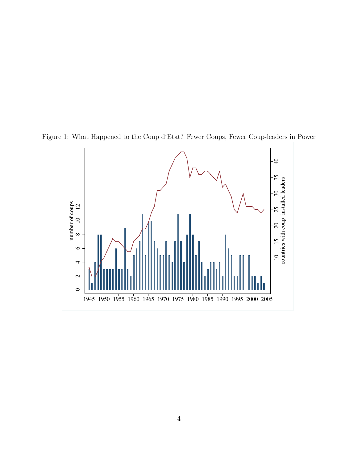

Figure 1: What Happened to the Coup d'Etat? Fewer Coups, Fewer Coup-leaders in Power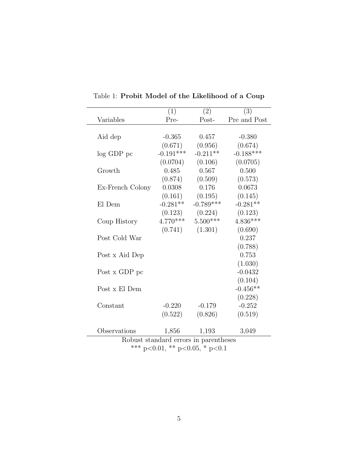|                                       | (1)         | (2)                            | (3)          |  |  |  |
|---------------------------------------|-------------|--------------------------------|--------------|--|--|--|
| Variables                             | Pre-        | Post-                          | Pre and Post |  |  |  |
|                                       |             |                                |              |  |  |  |
| Aid dep                               | $-0.365$    | 0.457                          | $-0.380$     |  |  |  |
|                                       | (0.671)     | (0.956)                        | (0.674)      |  |  |  |
| $log$ GDP $pc$                        | $-0.191***$ | $-0.211**$                     | $-0.188***$  |  |  |  |
|                                       | (0.0704)    | (0.106)                        | (0.0705)     |  |  |  |
| Growth                                | 0.485       | 0.567                          | 0.500        |  |  |  |
|                                       | (0.874)     | (0.509)                        | (0.573)      |  |  |  |
| Ex-French Colony                      | 0.0308      | 0.176                          | 0.0673       |  |  |  |
|                                       | (0.161)     | (0.195)                        | (0.145)      |  |  |  |
| El Dem                                | $-0.281**$  | $-0.789***$                    | $-0.281**$   |  |  |  |
|                                       | (0.123)     | (0.224)                        | (0.123)      |  |  |  |
| Coup History                          | $4.770***$  | $5.500***$                     | $4.836***$   |  |  |  |
|                                       | (0.741)     | (1.301)                        | (0.690)      |  |  |  |
| Post Cold War                         |             |                                | 0.237        |  |  |  |
|                                       |             |                                | (0.788)      |  |  |  |
| Post x Aid Dep                        |             |                                | 0.753        |  |  |  |
|                                       |             |                                | (1.030)      |  |  |  |
| Post x GDP pc                         |             |                                | $-0.0432$    |  |  |  |
|                                       |             |                                | (0.104)      |  |  |  |
| Post x El Dem                         |             |                                | $-0.456**$   |  |  |  |
|                                       |             |                                | (0.228)      |  |  |  |
| Constant                              | $-0.220$    | $-0.179$                       | $-0.252$     |  |  |  |
|                                       | (0.522)     | (0.826)                        | (0.519)      |  |  |  |
|                                       |             |                                |              |  |  |  |
| Observations                          | 1,856       | 1,193                          | 3,049        |  |  |  |
| Robust standard errors in parentheses |             |                                |              |  |  |  |
|                                       |             | *** p<0.01, ** p<0.05, * p<0.1 |              |  |  |  |

Table 1: Probit Model of the Likelihood of a Coup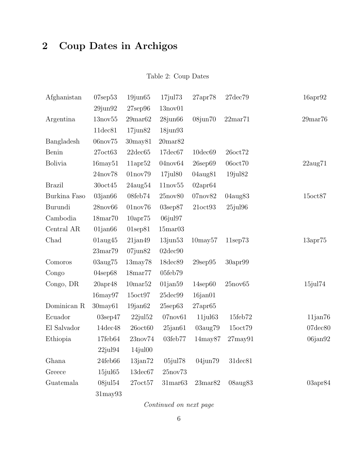## 2 Coup Dates in Archigos

### Table 2: Coup Dates

| Afghanistan    | $07$ sep $53$        | $19$ jun $65$        | $17$ jul $73$       | 27apr78             | $27$ dec $79$       | 16apr92              |
|----------------|----------------------|----------------------|---------------------|---------------------|---------------------|----------------------|
|                | $29$ jun $92$        | $27$ sep $96$        | 13nov01             |                     |                     |                      |
| Argentina      | 13nov55              | $29$ mar $62$        | $28$ jun $66$       | $08$ jun $70$       | 22 <sub>mar71</sub> | 29 <sub>mar</sub> 76 |
|                | $11$ dec $81$        | $17$ jun $82$        | $18$ jun $93$       |                     |                     |                      |
| Bangladesh     | 06nov75              | 30may81              | 20 <sub>mar82</sub> |                     |                     |                      |
| Benin          | 27oct63              | $22$ dec $65$        | $17$ dec $67$       | $10$ dec $69$       | 26oct72             |                      |
| <b>Bolivia</b> | $16$ may $51$        | $11$ apr $52$        | 04nov64             | $26$ sep $69$       | 06oct70             | $22\text{aug}71$     |
|                | 24nov78              | 01nov79              | $17$ jul $80$       | 04aug81             | $19$ jul $82$       |                      |
| <b>Brazil</b>  | 30oct45              | $24\text{aug}54$     | 11nov55             | $02$ apr $64$       |                     |                      |
| Burkina Faso   | $03$ jan $66$        | 08feb74              | 25nov80             | 07nov82             | 04aug83             | 15oct87              |
| Burundi        | 28nov66              | $01\text{nov}76$     | $03$ sep $87$       | 21oct93             | $25$ jul $96$       |                      |
| Cambodia       | 18 <sub>mar</sub> 70 | 10apr75              | 06jul97             |                     |                     |                      |
| Central AR     | $01$ jan $66$        | $01$ sep $81$        | 15 <sub>mar03</sub> |                     |                     |                      |
| Chad           | $01\text{aug}45$     | $21$ jan $49$        | $13$ jun $53$       | $10$ may $57$       | $11$ sep $73$       | 13apr75              |
|                | 23 <sub>mar</sub> 79 | $07$ jun $82$        | $02$ dec $90$       |                     |                     |                      |
| Comoros        | $03\text{aug}75$     | $13$ may $78$        | 18dec89             | $29$ sep $95$       | $30$ apr $99$       |                      |
| Congo          | $04$ sep $68$        | 18 <sub>mar</sub> 77 | 05feb79             |                     |                     |                      |
| Congo, DR      | $20$ apr $48$        | 10 <sub>mar52</sub>  | $01$ jan $59$       | $14$ sep $60$       | 25nov65             | 15jul74              |
|                | $16$ may $97$        | 15oct97              | $25$ dec $99$       | $16$ jan $01$       |                     |                      |
| Dominican R    | $30$ may $61$        | $19$ jan $62$        | $25$ sep $63$       | $27$ apr $65$       |                     |                      |
| Ecuador        | $03$ sep $47$        | $22$ jul $52$        | $07$ nov $61$       | $11$ jul $63$       | 15feb72             | $11$ jan $76$        |
| El Salvador    | $14$ dec $48$        | $26$ oct $60$        | $25$ jan $61$       | 03aug79             | 15oct79             | $07$ dec $80$        |
| Ethiopia       | 17feb64              | 23nov74              | 03feb77             | $14$ may $87$       | $27$ may $91$       | 06jan92              |
|                | $22$ jul $94$        | $14$ jul $00$        |                     |                     |                     |                      |
| Ghana          | 24feb66              | $13$ jan $72$        | $05$ jul $78$       | $04$ jun $79$       | $31$ dec $81$       |                      |
| Greece         | $15$ jul $65$        | $13$ dec $67$        | 25nov73             |                     |                     |                      |
| Guatemala      | $08$ jul $54$        | 27oct57              | 31 <sub>mar63</sub> | 23 <sub>mar82</sub> | 08aug83             | $03$ apr $84$        |
|                | $31$ may $93$        |                      |                     |                     |                     |                      |

Continued on next page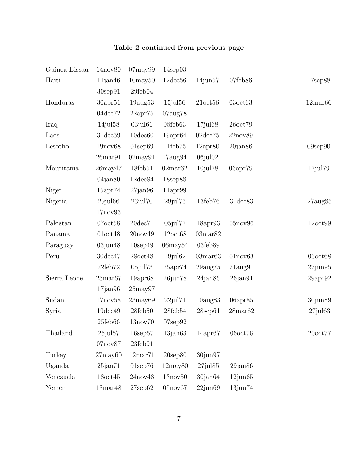### Table 2 continued from previous page

| Guinea-Bissau | 14nov80             | $07$ may $99$        | $14$ sep $03$        |                     |                      |                     |
|---------------|---------------------|----------------------|----------------------|---------------------|----------------------|---------------------|
| Haiti         | $11$ jan $46$       | $10$ may $50$        | $12$ dec $56$        | $14$ jun $57$       | 07feb86              | 17sep88             |
|               | $30$ sep $91$       | 29feb04              |                      |                     |                      |                     |
| Honduras      | $30$ apr $51$       | $19a$ ug $53$        | $15$ jul $56$        | $21$ oct $56$       | $03$ oct $63$        | 12 <sub>mar66</sub> |
|               | 04dec72             | 22apr75              | 07aug78              |                     |                      |                     |
| Iraq          | $14$ jul $58$       | $03$ jul $61$        | 08feb63              | $17$ jul $68$       | 26oct79              |                     |
| Laos          | $31$ dec $59$       | $10$ dec $60$        | $19$ apr $64$        | $02$ dec $75$       | 22nov89              |                     |
| Lesotho       | 19nov68             | $01$ sep $69$        | $11\text{feb}75$     | 12apr80             | $20$ jan $86$        | $09$ sep $90$       |
|               | $26$ mar $91$       | $02$ may $91$        | $17\text{aug}94$     | $06$ jul $02$       |                      |                     |
| Mauritania    | $26$ may $47$       | 18feb51              | 02 <sub>mar</sub> 62 | 10jul78             | 06apr79              | $17$ jul $79$       |
|               | $04$ jan $80$       | $12$ dec $84$        | 18sep88              |                     |                      |                     |
| Niger         | 15apr74             | $27$ jan $96$        | $11$ apr $99$        |                     |                      |                     |
| Nigeria       | $29$ jul $66$       | $23$ jul $70$        | $29$ jul $75$        | $13 \text{feb} 76$  | $31$ dec $83$        | $27\text{aug85}$    |
|               | 17nov93             |                      |                      |                     |                      |                     |
| Pakistan      | $07$ oct $58$       | $20$ dec $71$        | $05$ jul $77$        | $18$ apr $93$       | 05nov96              | 12oct99             |
| Panama        | $01$ oct $48$       | 20nov49              | 12oct68              | 03 <sub>mar82</sub> |                      |                     |
| Paraguay      | $03$ jun $48$       | $10$ sep $49$        | $06$ may $54$        | 03feb89             |                      |                     |
| Peru          | $30$ dec $47$       | 28oct48              | $19$ jul $62$        | 03 <sub>mar63</sub> | 01nov63              | $03$ oct $68$       |
|               | $22\text{feb}72$    | $05$ jul $73$        | 25apr74              | $29$ aug $75$       | $21\text{aug}91$     | $27$ jun $95$       |
| Sierra Leone  | 23 <sub>mar67</sub> | $19$ apr $68$        | $26$ jun $78$        | $24$ jan $86$       | $26$ jan $91$        | $29$ apr $92$       |
|               | $17$ jan $96$       | $25$ may $97$        |                      |                     |                      |                     |
| Sudan         | 17nov58             | $23$ may $69$        | $22$ jul $71$        | $10\text{aug}83$    | $06$ apr $85$        | 30jun89             |
| Syria         | 19dec49             | 28feb50              | 28feb54              | $28$ sep $61$       | 28 <sub>mar</sub> 62 | $27$ jul $63$       |
|               | $25$ feb $66$       | 13nov70              | $07$ sep $92$        |                     |                      |                     |
| Thailand      | $25$ jul $57$       | $16$ sep $57$        | $13$ jan $63$        | $14$ apr $67$       | $06$ oct $76$        | $20$ oct $77$       |
|               | 07nov87             | $23$ feb $91$        |                      |                     |                      |                     |
| Turkey        | $27$ may $60$       | 12 <sub>mar</sub> 71 | $20$ sep $80$        | 30jun97             |                      |                     |
| Uganda        | $25$ jan $71$       | $01$ sep $76$        | $12$ may $80$        | $27$ jul $85$       | $29$ jan $86$        |                     |
| Venezuela     | $18$ oct $45$       | 24nov48              | $13\text{nov}50$     | $30$ jan $64$       | $12$ jun $65$        |                     |
| Yemen         | $13\mathrm{mar}48$  | $27$ sep $62$        | 05nov67              | $22$ jun $69$       | $13$ jun $74$        |                     |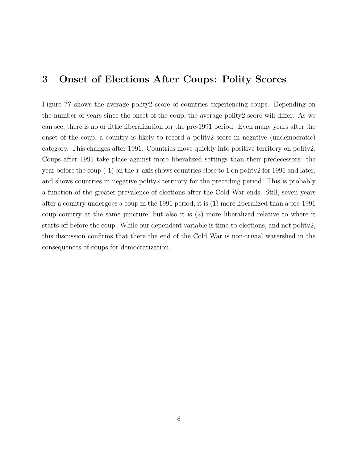## 3 Onset of Elections After Coups: Polity Scores

Figure ?? shows the average polity2 score of countries experiencing coups. Depending on the number of years since the onset of the coup, the average polity2 score will differ. As we can see, there is no or little liberalization for the pre-1991 period. Even many years after the onset of the coup, a country is likely to record a polity2 score in negative (undemocratic) category. This changes after 1991. Countries move quickly into positive territory on polity2. Coups after 1991 take place against more liberalized settings than their predecessors: the year before the coup  $(-1)$  on the x-axis shows countries close to 1 on polity 2 for 1991 and later, and shows countries in negative polity2 terrirory for the preceding period. This is probably a function of the greater prevalence of elections after the Cold War ends. Still, seven years after a country undergoes a coup in the 1991 period, it is (1) more liberalized than a pre-1991 coup country at the same juncture, but also it is (2) more liberalized relative to where it starts off before the coup. While our dependent variable is time-to-elections, and not polity2, this discussion confirms that there the end of the Cold War is non-trivial watershed in the consequences of coups for democratization.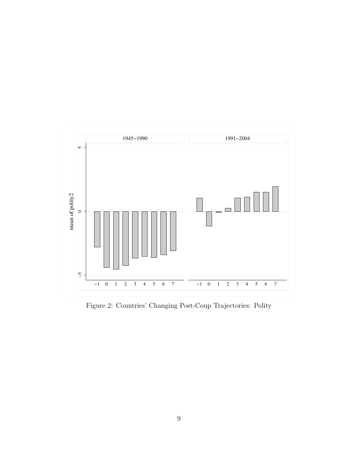

Figure 2: Countries' Changing Post-Coup Trajectories: Polity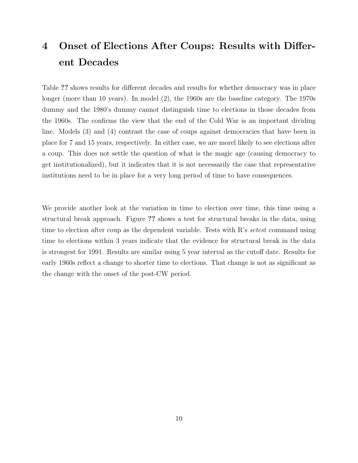## 4 Onset of Elections After Coups: Results with Different Decades

Table ?? shows results for different decades and results for whether democracy was in place longer (more than 10 years). In model (2), the 1960s are the baseline category. The 1970s dummy and the 1980's dummy cannot distinguish time to elections in those decades from the 1960s. The confirms the view that the end of the Cold War is an important dividing line. Models (3) and (4) contrast the case of coups against democracies that have been in place for 7 and 15 years, respectively. In either case, we are morel likely to see elections after a coup. This does not settle the question of what is the magic age (causing democracy to get institutionalized), but it indicates that it is not necessarily the case that representative institutions need to be in place for a very long period of time to have consequences.

We provide another look at the variation in time to election over time, this time using a structural break approach. Figure ?? shows a test for structural breaks in the data, using time to election after coup as the dependent variable. Tests with  $R$ 's sctest command using time to elections within 3 years indicate that the evidence for structural break in the data is strongest for 1991. Results are similar using 5 year interval as the cutoff date. Results for early 1960s reflect a change to shorter time to elections. That change is not as significant as the change with the onset of the post-CW period.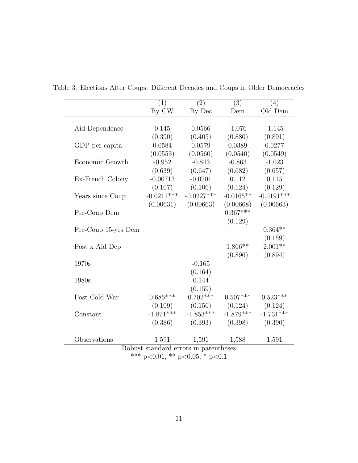|                                                                         | $\overline{(1)}$ | $\overline{(2)}$ | $\overline{(3)}$ | (4)          |  |  |  |  |
|-------------------------------------------------------------------------|------------------|------------------|------------------|--------------|--|--|--|--|
|                                                                         | By CW            | By Dec           | Dem              | Old Dem      |  |  |  |  |
|                                                                         |                  |                  |                  |              |  |  |  |  |
| Aid Dependence                                                          | 0.145            | 0.0566           | $-1.076$         | $-1.145$     |  |  |  |  |
|                                                                         | (0.390)          | (0.405)          | (0.880)          | (0.891)      |  |  |  |  |
| GDP per capita                                                          | 0.0584           | 0.0579           | 0.0389           | 0.0277       |  |  |  |  |
|                                                                         | (0.0553)         | (0.0560)         | (0.0540)         | (0.0549)     |  |  |  |  |
| Economic Growth                                                         | $-0.952$         | $-0.843$         | $-0.863$         | $-1.023$     |  |  |  |  |
|                                                                         | (0.639)          | (0.647)          | (0.682)          | (0.657)      |  |  |  |  |
| Ex-French Colony                                                        | $-0.00713$       | $-0.0201$        | 0.112            | 0.115        |  |  |  |  |
|                                                                         | (0.107)          | (0.106)          | (0.124)          | (0.129)      |  |  |  |  |
| Years since Coup                                                        | $-0.0211***$     | $-0.0227***$     | $-0.0165**$      | $-0.0191***$ |  |  |  |  |
|                                                                         | (0.00631)        | (0.00663)        | (0.00668)        | (0.00663)    |  |  |  |  |
| Pre-Coup Dem                                                            |                  |                  | $0.367***$       |              |  |  |  |  |
|                                                                         |                  |                  | (0.129)          |              |  |  |  |  |
| Pre-Coup 15-yrs Dem                                                     |                  |                  |                  | $0.364**$    |  |  |  |  |
|                                                                         |                  |                  |                  | (0.159)      |  |  |  |  |
| Post x Aid Dep                                                          |                  |                  | $1.866**$        | $2.001**$    |  |  |  |  |
|                                                                         |                  |                  | (0.896)          | (0.894)      |  |  |  |  |
| 1970s                                                                   |                  | $-0.165$         |                  |              |  |  |  |  |
|                                                                         |                  | (0.164)          |                  |              |  |  |  |  |
| 1980s                                                                   |                  | 0.144            |                  |              |  |  |  |  |
|                                                                         |                  | (0.159)          |                  |              |  |  |  |  |
| Post Cold War                                                           | $0.685***$       | $0.702***$       | $0.507***$       | $0.523***$   |  |  |  |  |
|                                                                         | (0.109)          | (0.156)          | (0.124)          | (0.124)      |  |  |  |  |
| Constant                                                                | $-1.871***$      | $-1.853***$      | $-1.879***$      | $-1.731***$  |  |  |  |  |
|                                                                         | (0.386)          | (0.393)          | (0.398)          | (0.390)      |  |  |  |  |
| Observations                                                            |                  |                  |                  |              |  |  |  |  |
|                                                                         | 1,591            | 1,591            | 1,588            | 1,591        |  |  |  |  |
| Robust standard errors in parentheses<br>*** p<0.01, ** p<0.05, * p<0.1 |                  |                  |                  |              |  |  |  |  |
|                                                                         |                  |                  |                  |              |  |  |  |  |

Table 3: Elections After Coups: Different Decades and Coups in Older Democracies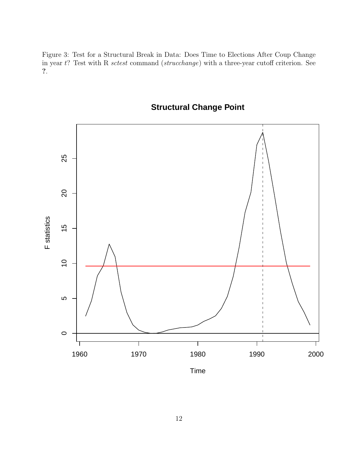Figure 3: Test for a Structural Break in Data: Does Time to Elections After Coup Change in year t? Test with R sctest command (strucchange) with a three-year cutoff criterion. See ?.



## **Structural Change Point**

Time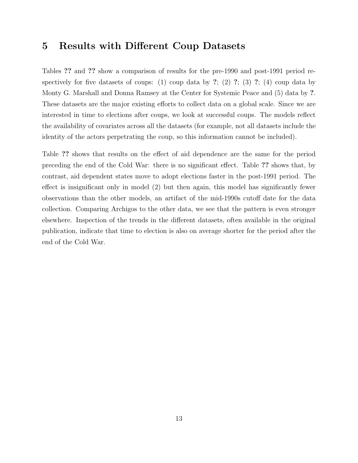#### 5 Results with Different Coup Datasets

Tables ?? and ?? show a comparison of results for the pre-1990 and post-1991 period respectively for five datasets of coups: (1) coup data by ?; (2) ?; (3) ?; (4) coup data by Monty G. Marshall and Donna Ramsey at the Center for Systemic Peace and (5) data by ?. These datasets are the major existing efforts to collect data on a global scale. Since we are interested in time to elections after coups, we look at successful coups. The models reflect the availability of covariates across all the datasets (for example, not all datasets include the identity of the actors perpetrating the coup, so this information cannot be included).

Table ?? shows that results on the effect of aid dependence are the same for the period preceding the end of the Cold War: there is no significant effect. Table ?? shows that, by contrast, aid dependent states move to adopt elections faster in the post-1991 period. The effect is insignificant only in model (2) but then again, this model has significantly fewer observations than the other models, an artifact of the mid-1990s cutoff date for the data collection. Comparing Archigos to the other data, we see that the pattern is even stronger elsewhere. Inspection of the trends in the different datasets, often available in the original publication, indicate that time to election is also on average shorter for the period after the end of the Cold War.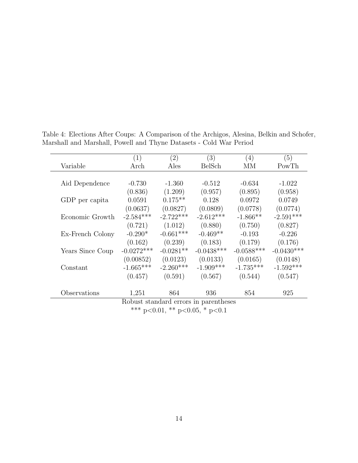|                                       | (1)          | (2)         | (3)          | (4)          | (5)          |  |  |
|---------------------------------------|--------------|-------------|--------------|--------------|--------------|--|--|
| Variable                              | Arch         | Ales        | BelSch       | МM           | PowTh        |  |  |
|                                       |              |             |              |              |              |  |  |
| Aid Dependence                        | $-0.730$     | $-1.360$    | $-0.512$     | $-0.634$     | $-1.022$     |  |  |
|                                       | (0.836)      | (1.209)     | (0.957)      | (0.895)      | (0.958)      |  |  |
| GDP per capita                        | 0.0591       | $0.175**$   | 0.128        | 0.0972       | 0.0749       |  |  |
|                                       | (0.0637)     | (0.0827)    | (0.0809)     | (0.0778)     | (0.0774)     |  |  |
| Economic Growth                       | $-2.584***$  | $-2.722***$ | $-2.612***$  | $-1.866**$   | $-2.591***$  |  |  |
|                                       | (0.721)      | (1.012)     | (0.880)      | (0.750)      | (0.827)      |  |  |
| Ex-French Colony                      | $-0.290*$    | $-0.661***$ | $-0.469**$   | $-0.193$     | $-0.226$     |  |  |
|                                       | (0.162)      | (0.239)     | (0.183)      | (0.179)      | (0.176)      |  |  |
| Years Since Coup                      | $-0.0272***$ | $-0.0281**$ | $-0.0438***$ | $-0.0588***$ | $-0.0430***$ |  |  |
|                                       | (0.00852)    | (0.0123)    | (0.0133)     | (0.0165)     | (0.0148)     |  |  |
| Constant                              | $-1.665***$  | $-2.260***$ | $-1.909***$  | $-1.735***$  | $-1.592***$  |  |  |
|                                       | (0.457)      | (0.591)     | (0.567)      | (0.544)      | (0.547)      |  |  |
| Observations                          | 1,251        | 864         | 936          | 854          | 925          |  |  |
| Robust standard errors in parentheses |              |             |              |              |              |  |  |
| *** p<0.01, ** p<0.05, * p<0.1        |              |             |              |              |              |  |  |

Table 4: Elections After Coups: A Comparison of the Archigos, Alesina, Belkin and Schofer, Marshall and Marshall, Powell and Thyne Datasets - Cold War Period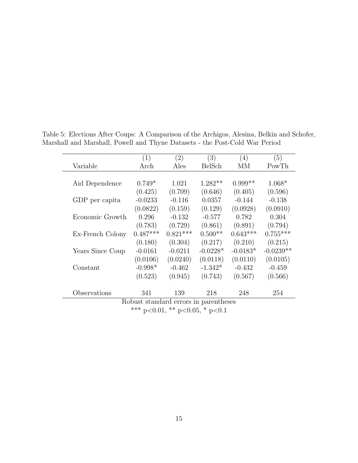|                                       | (1)        | (2)        | (3)           | (4)        | (5)         |  |  |
|---------------------------------------|------------|------------|---------------|------------|-------------|--|--|
| Variable                              | Arch       | Ales       | <b>BelSch</b> | MМ         | PowTh       |  |  |
|                                       |            |            |               |            |             |  |  |
| Aid Dependence                        | $0.749*$   | 1.021      | $1.282**$     | $0.999**$  | $1.068*$    |  |  |
|                                       | (0.425)    | (0.709)    | (0.646)       | (0.405)    | (0.596)     |  |  |
| GDP per capita                        | $-0.0233$  | $-0.116$   | 0.0357        | $-0.144$   | $-0.138$    |  |  |
|                                       | (0.0822)   | (0.159)    | (0.129)       | (0.0928)   | (0.0910)    |  |  |
| Economic Growth                       | 0.296      | $-0.132$   | $-0.577$      | 0.782      | 0.304       |  |  |
|                                       | (0.783)    | (0.729)    | (0.861)       | (0.891)    | (0.794)     |  |  |
| Ex-French Colony                      | $0.487***$ | $0.821***$ | $0.500**$     | $0.643***$ | $0.755***$  |  |  |
|                                       | (0.180)    | (0.304)    | (0.217)       | (0.210)    | (0.215)     |  |  |
| Years Since Coup                      | $-0.0161$  | $-0.0211$  | $-0.0228*$    | $-0.0183*$ | $-0.0239**$ |  |  |
|                                       | (0.0106)   | (0.0240)   | (0.0118)      | (0.0110)   | (0.0105)    |  |  |
| Constant                              | $-0.998*$  | $-0.462$   | $-1.342*$     | $-0.432$   | $-0.459$    |  |  |
|                                       | (0.523)    | (0.945)    | (0.743)       | (0.567)    | (0.566)     |  |  |
| Observations                          | 341        | 139        | 218           | 248        | 254         |  |  |
| Robust standard errors in parentheses |            |            |               |            |             |  |  |
| *** p<0.01, ** p<0.05, * p<0.1        |            |            |               |            |             |  |  |

Table 5: Elections After Coups: A Comparison of the Archigos, Alesina, Belkin and Schofer, Marshall and Marshall, Powell and Thyne Datasets - the Post-Cold War Period